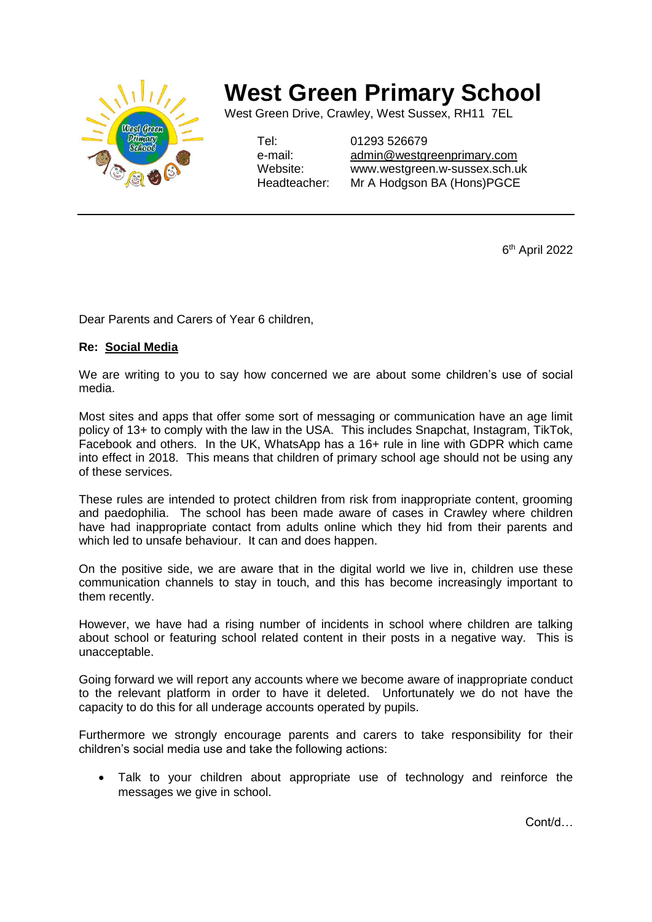

## **West Green Primary School**

West Green Drive, Crawley, West Sussex, RH11 7EL

Tel: 01293 526679

e-mail: [admin@westgreenprimary.com](mailto:admin@westgreenprimary.com) Website: www.westgreen.w-sussex.sch.uk Headteacher: Mr A Hodgson BA (Hons)PGCE

6 th April 2022

Dear Parents and Carers of Year 6 children,

## **Re: Social Media**

We are writing to you to say how concerned we are about some children's use of social media.

Most sites and apps that offer some sort of messaging or communication have an age limit policy of 13+ to comply with the law in the USA. This includes Snapchat, Instagram, TikTok, Facebook and others. In the UK, WhatsApp has a 16+ rule in line with GDPR which came into effect in 2018. This means that children of primary school age should not be using any of these services.

These rules are intended to protect children from risk from inappropriate content, grooming and paedophilia. The school has been made aware of cases in Crawley where children have had inappropriate contact from adults online which they hid from their parents and which led to unsafe behaviour. It can and does happen.

On the positive side, we are aware that in the digital world we live in, children use these communication channels to stay in touch, and this has become increasingly important to them recently.

However, we have had a rising number of incidents in school where children are talking about school or featuring school related content in their posts in a negative way. This is unacceptable.

Going forward we will report any accounts where we become aware of inappropriate conduct to the relevant platform in order to have it deleted. Unfortunately we do not have the capacity to do this for all underage accounts operated by pupils.

Furthermore we strongly encourage parents and carers to take responsibility for their children's social media use and take the following actions:

 Talk to your children about appropriate use of technology and reinforce the messages we give in school.

Cont/d…